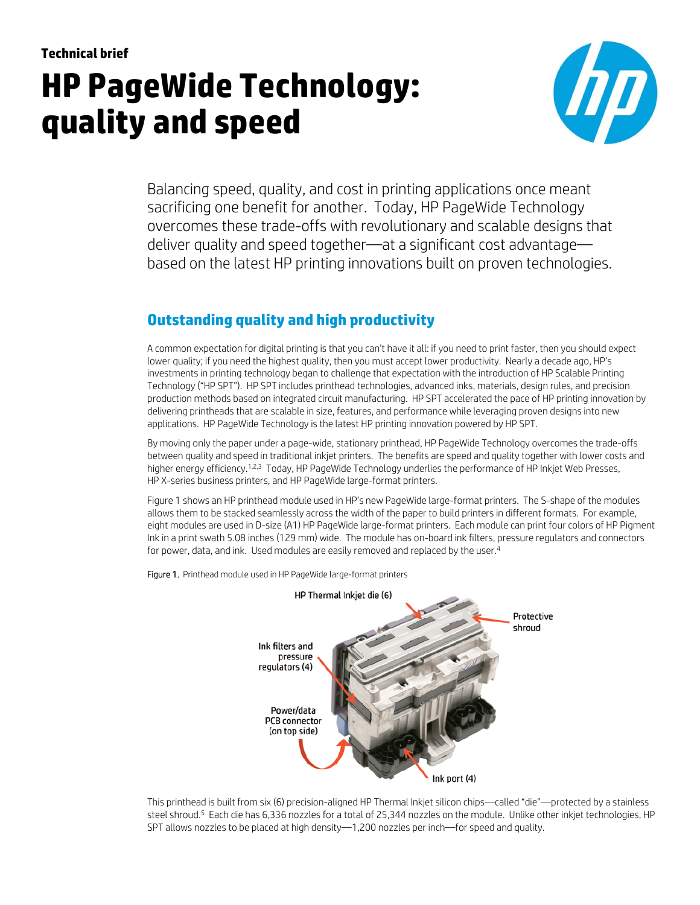# **Technical brief HP PageWide Technology: quality and speed**



Balancing speed, quality, and cost in printing applications once meant sacrificing one benefit for another. Today, HP PageWide Technology overcomes these trade-offs with revolutionary and scalable designs that deliver quality and speed together—at a significant cost advantage based on the latest HP printing innovations built on proven technologies.

# **Outstanding quality and high productivity**

A common expectation for digital printing is that you can't have it all: if you need to print faster, then you should expect lower quality; if you need the highest quality, then you must accept lower productivity. Nearly a decade ago, HP's investments in printing technology began to challenge that expectation with the introduction of HP Scalable Printing Technology ("HP SPT"). HP SPT includes printhead technologies, advanced inks, materials, design rules, and precision production methods based on integrated circuit manufacturing. HP SPT accelerated the pace of HP printing innovation by delivering printheads that are scalable in size, features, and performance while leveraging proven designs into new applications. HP PageWide Technology is the latest HP printing innovation powered by HP SPT.

By moving only the paper under a page-wide, stationary printhead, HP PageWide Technology overcomes the trade-offs between quality and speed in traditional inkjet printers. The benefits are speed and quality together with lower costs and higher energy efficiency.<sup>1,2,3</sup> Today, HP PageWide Technology underlies the performance of HP Inkjet Web Presses, HP X-series business printers, and HP PageWide large-format printers.

Figure 1 shows an HP printhead module used in HP's new PageWide large-format printers. The S-shape of the modules allows them to be stacked seamlessly across the width of the paper to build printers in different formats. For example, eight modules are used in D-size (A1) HP PageWide large-format printers. Each module can print four colors of HP Pigment Ink in a print swath 5.08 inches (129 mm) wide. The module has on-board ink filters, pressure regulators and connectors for power, data, and ink. Used modules are easily removed and replaced by the user.4



Figure 1. Printhead module used in HP PageWide large-format printers

This printhead is built from six (6) precision-aligned HP Thermal Inkjet silicon chips—called "die"—protected by a stainless steel shroud.5 Each die has 6,336 nozzles for a total of 25,344 nozzles on the module. Unlike other inkjet technologies, HP SPT allows nozzles to be placed at high density—1,200 nozzles per inch—for speed and quality.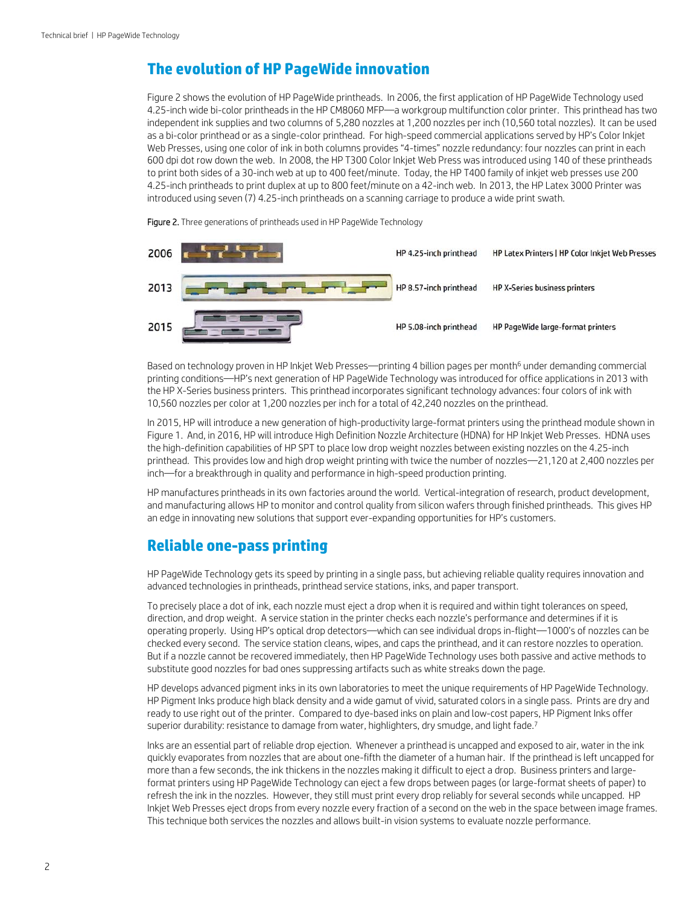### **The evolution of HP PageWide innovation**

Figure 2 shows the evolution of HP PageWide printheads. In 2006, the first application of HP PageWide Technology used 4.25-inch wide bi-color printheads in the HP CM8060 MFP—a workgroup multifunction color printer. This printhead has two independent ink supplies and two columns of 5,280 nozzles at 1,200 nozzles per inch (10,560 total nozzles). It can be used as a bi-color printhead or as a single-color printhead. For high-speed commercial applications served by HP's Color Inkjet Web Presses, using one color of ink in both columns provides "4-times" nozzle redundancy: four nozzles can print in each 600 dpi dot row down the web. In 2008, the HP T300 Color Inkjet Web Press was introduced using 140 of these printheads to print both sides of a 30-inch web at up to 400 feet/minute. Today, the HP T400 family of inkjet web presses use 200 4.25-inch printheads to print duplex at up to 800 feet/minute on a 42-inch web. In 2013, the HP Latex 3000 Printer was introduced using seven (7) 4.25-inch printheads on a scanning carriage to produce a wide print swath.

Figure 2. Three generations of printheads used in HP PageWide Technology



Based on technology proven in HP Inkjet Web Presses—printing 4 billion pages per month<sup>6</sup> under demanding commercial printing conditions—HP's next generation of HP PageWide Technology was introduced for office applications in 2013 with the HP X-Series business printers. This printhead incorporates significant technology advances: four colors of ink with 10,560 nozzles per color at 1,200 nozzles per inch for a total of 42,240 nozzles on the printhead.

In 2015, HP will introduce a new generation of high-productivity large-format printers using the printhead module shown in Figure 1. And, in 2016, HP will introduce High Definition Nozzle Architecture (HDNA) for HP Inkjet Web Presses. HDNA uses the high-definition capabilities of HP SPT to place low drop weight nozzles between existing nozzles on the 4.25-inch printhead. This provides low and high drop weight printing with twice the number of nozzles—21,120 at 2,400 nozzles per inch—for a breakthrough in quality and performance in high-speed production printing.

HP manufactures printheads in its own factories around the world. Vertical-integration of research, product development, and manufacturing allows HP to monitor and control quality from silicon wafers through finished printheads. This gives HP an edge in innovating new solutions that support ever-expanding opportunities for HP's customers.

#### **Reliable one-pass printing**

HP PageWide Technology gets its speed by printing in a single pass, but achieving reliable quality requires innovation and advanced technologies in printheads, printhead service stations, inks, and paper transport.

To precisely place a dot of ink, each nozzle must eject a drop when it is required and within tight tolerances on speed, direction, and drop weight. A service station in the printer checks each nozzle's performance and determines if it is operating properly. Using HP's optical drop detectors—which can see individual drops in-flight—1000's of nozzles can be checked every second. The service station cleans, wipes, and caps the printhead, and it can restore nozzles to operation. But if a nozzle cannot be recovered immediately, then HP PageWide Technology uses both passive and active methods to substitute good nozzles for bad ones suppressing artifacts such as white streaks down the page.

HP develops advanced pigment inks in its own laboratories to meet the unique requirements of HP PageWide Technology. HP Pigment Inks produce high black density and a wide gamut of vivid, saturated colors in a single pass. Prints are dry and ready to use right out of the printer. Compared to dye-based inks on plain and low-cost papers, HP Pigment Inks offer superior durability: resistance to damage from water, highlighters, dry smudge, and light fade.<sup>7</sup>

Inks are an essential part of reliable drop ejection. Whenever a printhead is uncapped and exposed to air, water in the ink quickly evaporates from nozzles that are about one-fifth the diameter of a human hair. If the printhead is left uncapped for more than a few seconds, the ink thickens in the nozzles making it difficult to eject a drop. Business printers and largeformat printers using HP PageWide Technology can eject a few drops between pages (or large-format sheets of paper) to refresh the ink in the nozzles. However, they still must print every drop reliably for several seconds while uncapped. HP Inkjet Web Presses eject drops from every nozzle every fraction of a second on the web in the space between image frames. This technique both services the nozzles and allows built-in vision systems to evaluate nozzle performance.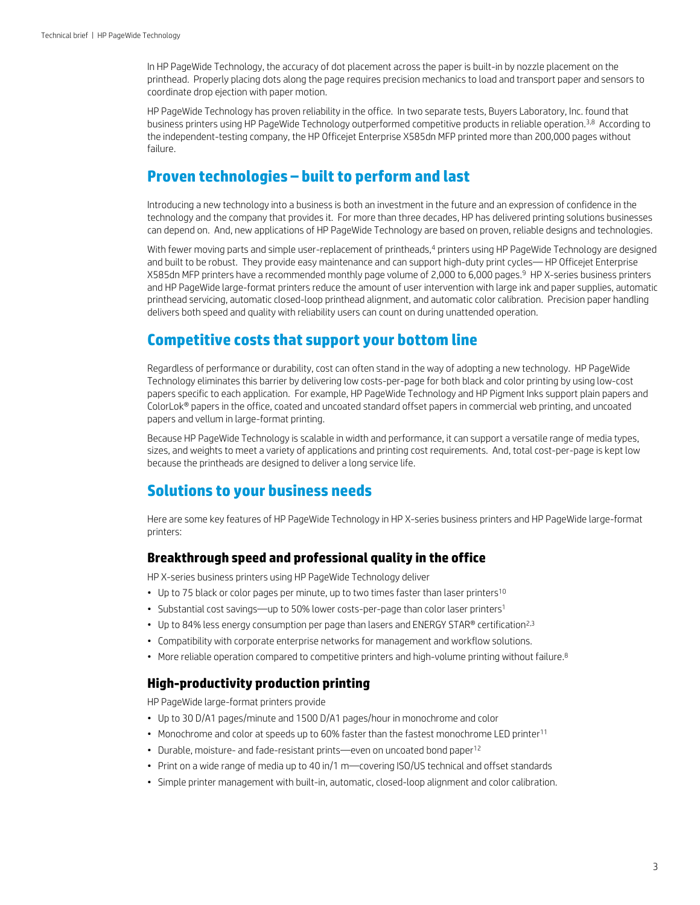In HP PageWide Technology, the accuracy of dot placement across the paper is built-in by nozzle placement on the printhead. Properly placing dots along the page requires precision mechanics to load and transport paper and sensors to coordinate drop ejection with paper motion.

HP PageWide Technology has proven reliability in the office. In two separate tests, Buyers Laboratory, Inc. found that business printers using HP PageWide Technology outperformed competitive products in reliable operation.3,8 According to the independent-testing company, the HP Officejet Enterprise X585dn MFP printed more than 200,000 pages without failure.

### **Proven technologies – built to perform and last**

Introducing a new technology into a business is both an investment in the future and an expression of confidence in the technology and the company that provides it. For more than three decades, HP has delivered printing solutions businesses can depend on. And, new applications of HP PageWide Technology are based on proven, reliable designs and technologies.

With fewer moving parts and simple user-replacement of printheads,<sup>4</sup> printers using HP PageWide Technology are designed and built to be robust. They provide easy maintenance and can support high-duty print cycles— HP Officejet Enterprise X585dn MFP printers have a recommended monthly page volume of 2,000 to 6,000 pages.9 HP X-series business printers and HP PageWide large-format printers reduce the amount of user intervention with large ink and paper supplies, automatic printhead servicing, automatic closed-loop printhead alignment, and automatic color calibration. Precision paper handling delivers both speed and quality with reliability users can count on during unattended operation.

## **Competitive costs that support your bottom line**

Regardless of performance or durability, cost can often stand in the way of adopting a new technology. HP PageWide Technology eliminates this barrier by delivering low costs-per-page for both black and color printing by using low-cost papers specific to each application. For example, HP PageWide Technology and HP Pigment Inks support plain papers and ColorLok® papers in the office, coated and uncoated standard offset papers in commercial web printing, and uncoated papers and vellum in large-format printing.

Because HP PageWide Technology is scalable in width and performance, it can support a versatile range of media types, sizes, and weights to meet a variety of applications and printing cost requirements. And, total cost-per-page is kept low because the printheads are designed to deliver a long service life.

## **Solutions to your business needs**

Here are some key features of HP PageWide Technology in HP X-series business printers and HP PageWide large-format printers:

#### **Breakthrough speed and professional quality in the office**

HP X-series business printers using HP PageWide Technology deliver

- Up to 75 black or color pages per minute, up to two times faster than laser printers<sup>10</sup>
- Substantial cost savings—up to 50% lower costs-per-page than color laser printers<sup>1</sup>
- Up to 84% less energy consumption per page than lasers and ENERGY STAR® certification<sup>2,3</sup>
- Compatibility with corporate enterprise networks for management and workflow solutions.
- More reliable operation compared to competitive printers and high-volume printing without failure.<sup>8</sup>

#### **High-productivity production printing**

HP PageWide large-format printers provide

- Up to 30 D/A1 pages/minute and 1500 D/A1 pages/hour in monochrome and color
- Monochrome and color at speeds up to 60% faster than the fastest monochrome LED printer<sup>11</sup>
- Durable, moisture- and fade-resistant prints—even on uncoated bond paper<sup>12</sup>
- Print on a wide range of media up to 40 in/1 m—covering ISO/US technical and offset standards
- Simple printer management with built-in, automatic, closed-loop alignment and color calibration.